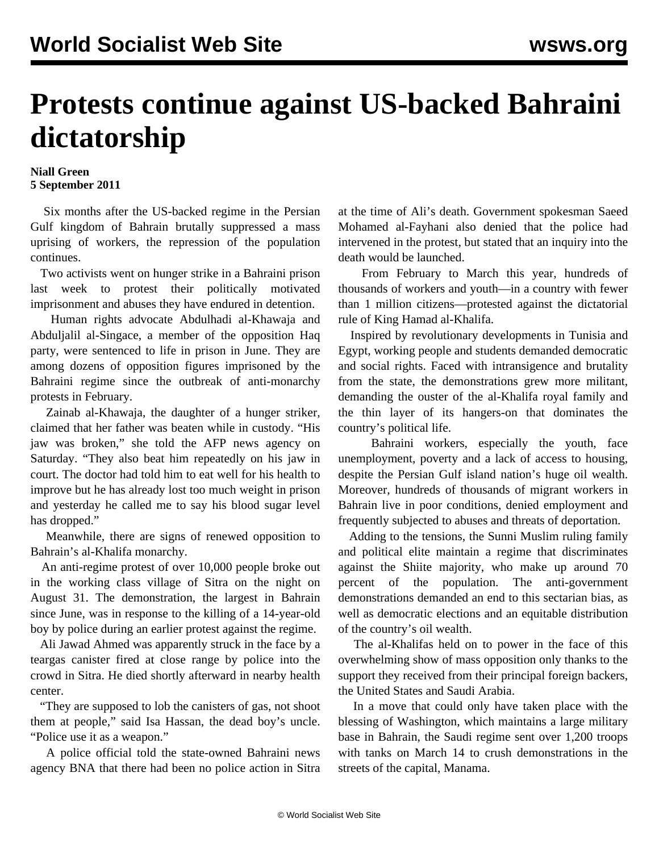## **Protests continue against US-backed Bahraini dictatorship**

## **Niall Green 5 September 2011**

 Six months after the US-backed regime in the Persian Gulf kingdom of Bahrain brutally suppressed a mass uprising of workers, the repression of the population continues.

 Two activists went on hunger strike in a Bahraini prison last week to protest their politically motivated imprisonment and abuses they have endured in detention.

 Human rights advocate Abdulhadi al-Khawaja and Abduljalil al-Singace, a member of the opposition Haq party, were sentenced to life in prison in June. They are among dozens of opposition figures imprisoned by the Bahraini regime since the outbreak of anti-monarchy protests in February.

 Zainab al-Khawaja, the daughter of a hunger striker, claimed that her father was beaten while in custody. "His jaw was broken," she told the AFP news agency on Saturday. "They also beat him repeatedly on his jaw in court. The doctor had told him to eat well for his health to improve but he has already lost too much weight in prison and yesterday he called me to say his blood sugar level has dropped."

 Meanwhile, there are signs of renewed opposition to Bahrain's al-Khalifa monarchy.

 An anti-regime protest of over 10,000 people broke out in the working class village of Sitra on the night on August 31. The demonstration, the largest in Bahrain since June, was in response to the killing of a 14-year-old boy by police during an earlier protest against the regime.

 Ali Jawad Ahmed was apparently struck in the face by a teargas canister fired at close range by police into the crowd in Sitra. He died shortly afterward in nearby health center.

 "They are supposed to lob the canisters of gas, not shoot them at people," said Isa Hassan, the dead boy's uncle. "Police use it as a weapon."

 A police official told the state-owned Bahraini news agency BNA that there had been no police action in Sitra at the time of Ali's death. Government spokesman Saeed Mohamed al-Fayhani also denied that the police had intervened in the protest, but stated that an inquiry into the death would be launched.

 From February to March this year, hundreds of thousands of workers and youth—in a country with fewer than 1 million citizens—protested against the dictatorial rule of King Hamad al-Khalifa.

 Inspired by revolutionary developments in Tunisia and Egypt, working people and students demanded democratic and social rights. Faced with intransigence and brutality from the state, the demonstrations grew more militant, demanding the ouster of the al-Khalifa royal family and the thin layer of its hangers-on that dominates the country's political life.

 Bahraini workers, especially the youth, face unemployment, poverty and a lack of access to housing, despite the Persian Gulf island nation's huge oil wealth. Moreover, hundreds of thousands of migrant workers in Bahrain live in poor conditions, denied employment and frequently subjected to abuses and threats of deportation.

 Adding to the tensions, the Sunni Muslim ruling family and political elite maintain a regime that discriminates against the Shiite majority, who make up around 70 percent of the population. The anti-government demonstrations demanded an end to this sectarian bias, as well as democratic elections and an equitable distribution of the country's oil wealth.

 The al-Khalifas held on to power in the face of this overwhelming show of mass opposition only thanks to the support they received from their principal foreign backers, the United States and Saudi Arabia.

 In a move that could only have taken place with the blessing of Washington, which maintains a large military base in Bahrain, the Saudi regime sent over 1,200 troops with tanks on March 14 to crush demonstrations in the streets of the capital, Manama.